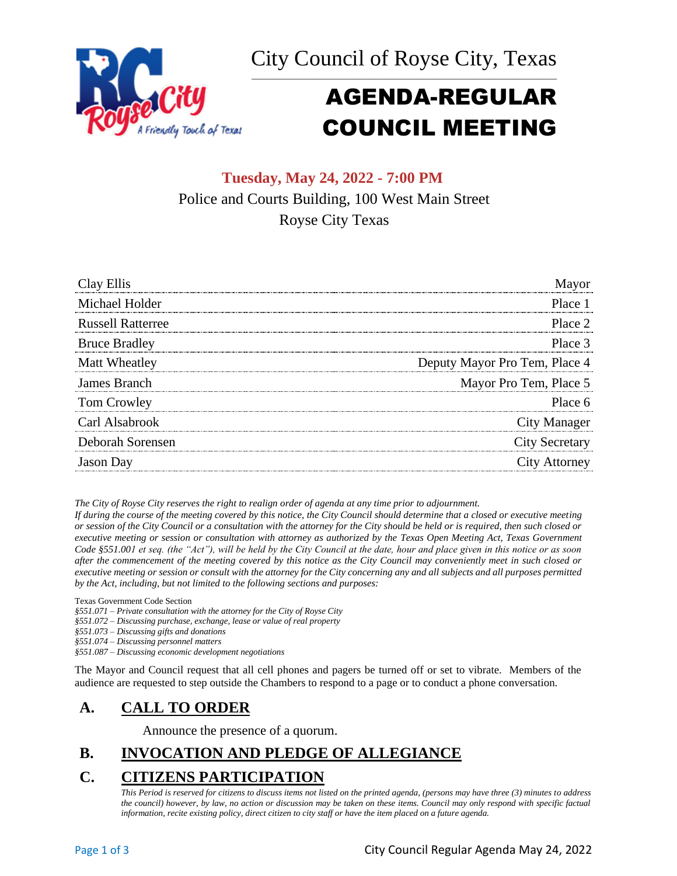



# AGENDA-REGULAR COUNCIL MEETING

# **Tuesday, May 24, 2022 - 7:00 PM** Police and Courts Building, 100 West Main Street Royse City Texas

| Clay Ellis               |                               |
|--------------------------|-------------------------------|
| Michael Holder           | Place 1                       |
| <b>Russell Ratterree</b> | Place 2                       |
| <b>Bruce Bradley</b>     | Place 3                       |
| Matt Wheatley            | Deputy Mayor Pro Tem, Place 4 |
| James Branch             | Mayor Pro Tem, Place 5        |
| Tom Crowley              | Place 6                       |
| Carl Alsabrook           | City Manager                  |
| Deborah Sorensen         | <b>City Secretary</b>         |
| <b>Jason</b> Day         | City Attorney                 |

*The City of Royse City reserves the right to realign order of agenda at any time prior to adjournment.*

*If during the course of the meeting covered by this notice, the City Council should determine that a closed or executive meeting or session of the City Council or a consultation with the attorney for the City should be held or is required, then such closed or executive meeting or session or consultation with attorney as authorized by the Texas Open Meeting Act, Texas Government Code §551.001 et seq. (the "Act"), will be held by the City Council at the date, hour and place given in this notice or as soon after the commencement of the meeting covered by this notice as the City Council may conveniently meet in such closed or executive meeting or session or consult with the attorney for the City concerning any and all subjects and all purposes permitted by the Act, including, but not limited to the following sections and purposes:*

Texas Government Code Section

*§551.071 – Private consultation with the attorney for the City of Royse City* 

*§551.072 – Discussing purchase, exchange, lease or value of real property* 

*§551.073 – Discussing gifts and donations*

*§551.074 – Discussing personnel matters*

*§551.087 – Discussing economic development negotiations*

The Mayor and Council request that all cell phones and pagers be turned off or set to vibrate. Members of the audience are requested to step outside the Chambers to respond to a page or to conduct a phone conversation.

# **A. CALL TO ORDER**

Announce the presence of a quorum.

# **B. INVOCATION AND PLEDGE OF ALLEGIANCE**

# **C. CITIZENS PARTICIPATION**

*This Period is reserved for citizens to discuss items not listed on the printed agenda, (persons may have three (3) minutes to address the council) however, by law, no action or discussion may be taken on these items. Council may only respond with specific factual information, recite existing policy, direct citizen to city staff or have the item placed on a future agenda.*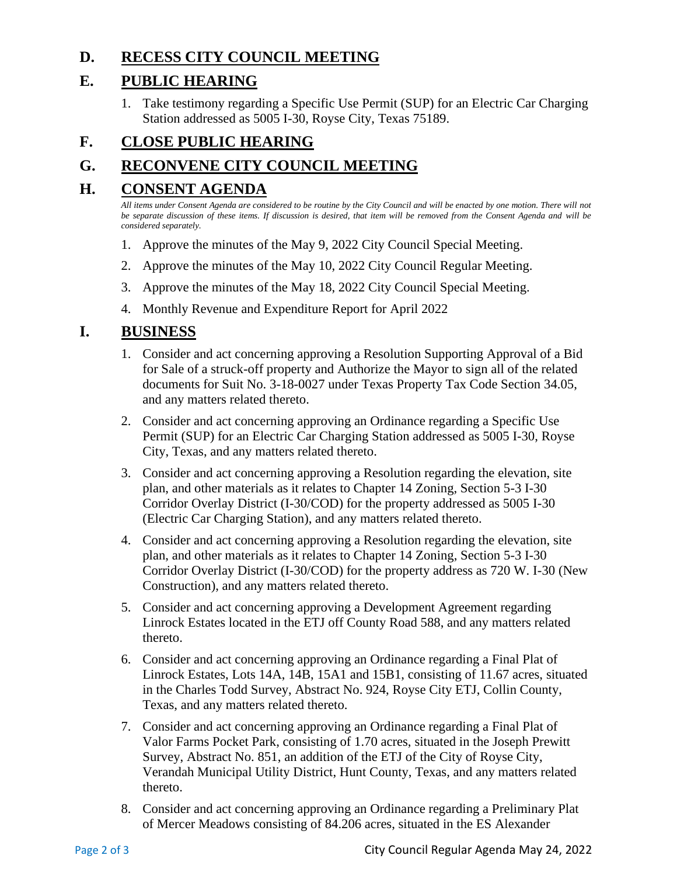## **D. RECESS CITY COUNCIL MEETING**

## **E. PUBLIC HEARING**

1. Take testimony regarding a Specific Use Permit (SUP) for an Electric Car Charging Station addressed as 5005 I-30, Royse City, Texas 75189.

# **F. CLOSE PUBLIC HEARING**

# **G. RECONVENE CITY COUNCIL MEETING**

# **H. CONSENT AGENDA**

*All items under Consent Agenda are considered to be routine by the City Council and will be enacted by one motion. There will not be separate discussion of these items. If discussion is desired, that item will be removed from the Consent Agenda and will be considered separately.*

- 1. Approve the minutes of the May 9, 2022 City Council Special Meeting.
- 2. Approve the minutes of the May 10, 2022 City Council Regular Meeting.
- 3. Approve the minutes of the May 18, 2022 City Council Special Meeting.
- 4. Monthly Revenue and Expenditure Report for April 2022

### **I. BUSINESS**

- 1. Consider and act concerning approving a Resolution Supporting Approval of a Bid for Sale of a struck-off property and Authorize the Mayor to sign all of the related documents for Suit No. 3-18-0027 under Texas Property Tax Code Section 34.05, and any matters related thereto.
- 2. Consider and act concerning approving an Ordinance regarding a Specific Use Permit (SUP) for an Electric Car Charging Station addressed as 5005 I-30, Royse City, Texas, and any matters related thereto.
- 3. Consider and act concerning approving a Resolution regarding the elevation, site plan, and other materials as it relates to Chapter 14 Zoning, Section 5-3 I-30 Corridor Overlay District (I-30/COD) for the property addressed as 5005 I-30 (Electric Car Charging Station), and any matters related thereto.
- 4. Consider and act concerning approving a Resolution regarding the elevation, site plan, and other materials as it relates to Chapter 14 Zoning, Section 5-3 I-30 Corridor Overlay District (I-30/COD) for the property address as 720 W. I-30 (New Construction), and any matters related thereto.
- 5. Consider and act concerning approving a Development Agreement regarding Linrock Estates located in the ETJ off County Road 588, and any matters related thereto.
- 6. Consider and act concerning approving an Ordinance regarding a Final Plat of Linrock Estates, Lots 14A, 14B, 15A1 and 15B1, consisting of 11.67 acres, situated in the Charles Todd Survey, Abstract No. 924, Royse City ETJ, Collin County, Texas, and any matters related thereto.
- 7. Consider and act concerning approving an Ordinance regarding a Final Plat of Valor Farms Pocket Park, consisting of 1.70 acres, situated in the Joseph Prewitt Survey, Abstract No. 851, an addition of the ETJ of the City of Royse City, Verandah Municipal Utility District, Hunt County, Texas, and any matters related thereto.
- 8. Consider and act concerning approving an Ordinance regarding a Preliminary Plat of Mercer Meadows consisting of 84.206 acres, situated in the ES Alexander